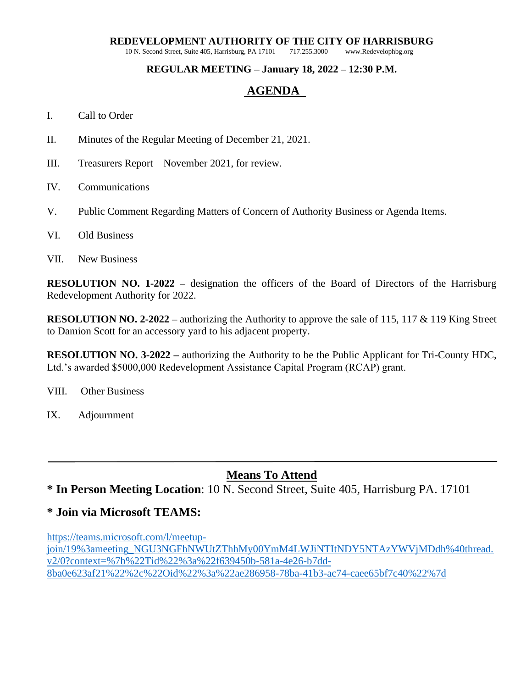# **REDEVELOPMENT AUTHORITY OF THE CITY OF HARRISBURG** 10 N. Second Street, Suite 405, Harrisburg, PA 17101 717.255.3000 www.Redevelophbg.org

10 N. Second Street, Suite 405, Harrisburg, PA 17101

#### **REGULAR MEETING – January 18, 2022 – 12:30 P.M.**

#### **AGENDA**

#### I. Call to Order

- II. Minutes of the Regular Meeting of December 21, 2021.
- III. Treasurers Report November 2021, for review.
- IV. Communications
- V. Public Comment Regarding Matters of Concern of Authority Business or Agenda Items.
- VI. Old Business
- VII. New Business

**RESOLUTION NO. 1-2022 –** designation the officers of the Board of Directors of the Harrisburg Redevelopment Authority for 2022.

**RESOLUTION NO. 2-2022 –** authorizing the Authority to approve the sale of 115, 117 & 119 King Street to Damion Scott for an accessory yard to his adjacent property.

**RESOLUTION NO. 3-2022 –** authorizing the Authority to be the Public Applicant for Tri-County HDC, Ltd.'s awarded \$5000,000 Redevelopment Assistance Capital Program (RCAP) grant.

VIII. Other Business

IX. Adjournment

## **Means To Attend**

## **\* In Person Meeting Location**: 10 N. Second Street, Suite 405, Harrisburg PA. 17101

#### **\* Join via Microsoft TEAMS:**

[https://teams.microsoft.com/l/meetup](https://teams.microsoft.com/l/meetup-join/19:meeting_NGU3NGFhNWUtZThhMy00YmM4LWJiNTItNDY5NTAzYWVjMDdh@thread.v2/0?context=%7b%22Tid%22%3a%22f639450b-581a-4e26-b7dd-8ba0e623af21%22%2c%22Oid%22%3a%22ae286958-78ba-41b3-ac74-caee65bf7c40%22%7d)[join/19%3ameeting\\_NGU3NGFhNWUtZThhMy00YmM4LWJiNTItNDY5NTAzYWVjMDdh%40thread.](https://teams.microsoft.com/l/meetup-join/19:meeting_NGU3NGFhNWUtZThhMy00YmM4LWJiNTItNDY5NTAzYWVjMDdh@thread.v2/0?context=%7b%22Tid%22%3a%22f639450b-581a-4e26-b7dd-8ba0e623af21%22%2c%22Oid%22%3a%22ae286958-78ba-41b3-ac74-caee65bf7c40%22%7d) [v2/0?context=%7b%22Tid%22%3a%22f639450b-581a-4e26-b7dd-](https://teams.microsoft.com/l/meetup-join/19:meeting_NGU3NGFhNWUtZThhMy00YmM4LWJiNTItNDY5NTAzYWVjMDdh@thread.v2/0?context=%7b%22Tid%22%3a%22f639450b-581a-4e26-b7dd-8ba0e623af21%22%2c%22Oid%22%3a%22ae286958-78ba-41b3-ac74-caee65bf7c40%22%7d)[8ba0e623af21%22%2c%22Oid%22%3a%22ae286958-78ba-41b3-ac74-caee65bf7c40%22%7d](https://teams.microsoft.com/l/meetup-join/19:meeting_NGU3NGFhNWUtZThhMy00YmM4LWJiNTItNDY5NTAzYWVjMDdh@thread.v2/0?context=%7b%22Tid%22%3a%22f639450b-581a-4e26-b7dd-8ba0e623af21%22%2c%22Oid%22%3a%22ae286958-78ba-41b3-ac74-caee65bf7c40%22%7d)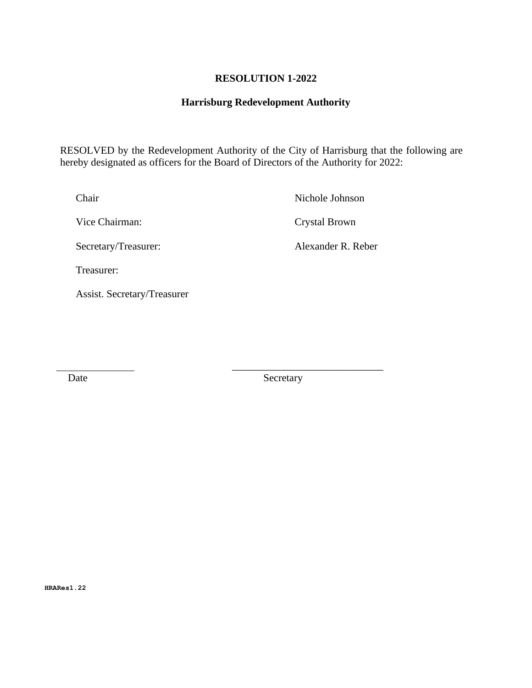#### **RESOLUTION 1-2022**

#### **Harrisburg Redevelopment Authority**

 RESOLVED by the Redevelopment Authority of the City of Harrisburg that the following are hereby designated as officers for the Board of Directors of the Authority for 2022:

Chair Nichole Johnson

Vice Chairman: Crystal Brown

Secretary/Treasurer: Alexander R. Reber

Treasurer:

Assist. Secretary/Treasurer

Date Secretary

\_\_\_\_\_\_\_\_\_\_\_\_\_\_\_\_\_\_\_\_\_\_\_\_\_\_\_\_\_

**HRARes1.22**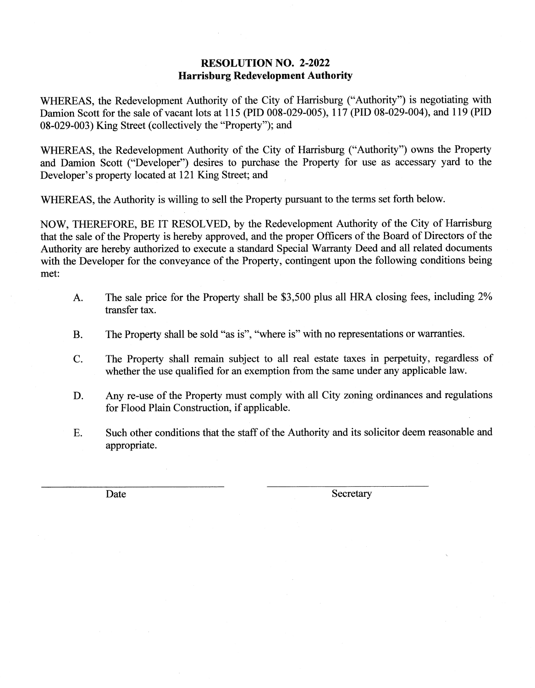#### **RESOLUTION NO. 2-2022 Harrisburg Redevelopment Authority**

WHEREAS, the Redevelopment Authority of the City of Harrisburg ("Authority") is negotiating with Damion Scott for the sale of vacant lots at 115 (PID 008-029-005), 117 (PID 08-029-004), and 119 (PID 08-029-003) King Street (collectively the "Property"); and

WHEREAS, the Redevelopment Authority of the City of Harrisburg ("Authority") owns the Property and Damion Scott ("Developer") desires to purchase the Property for use as accessary yard to the Developer's property located at 121 King Street; and

WHEREAS, the Authority is willing to sell the Property pursuant to the terms set forth below.

NOW, THEREFORE, BE IT RESOLVED, by the Redevelopment Authority of the City of Harrisburg that the sale of the Property is hereby approved, and the proper Officers of the Board of Directors of the Authority are hereby authorized to execute a standard Special Warranty Deed and all related documents with the Developer for the conveyance of the Property, contingent upon the following conditions being met:

- A. The sale price for the Property shall be \$3,500 plus all HRA closing fees, including 2% transfer tax.
- The Property shall be sold "as is", "where is" with no representations or warranties. **B.**
- C. The Property shall remain subject to all real estate taxes in perpetuity, regardless of whether the use qualified for an exemption from the same under any applicable law.
- D. Any re-use of the Property must comply with all City zoning ordinances and regulations for Flood Plain Construction, if applicable.
- E. Such other conditions that the staff of the Authority and its solicitor deem reasonable and appropriate.

Date

Secretary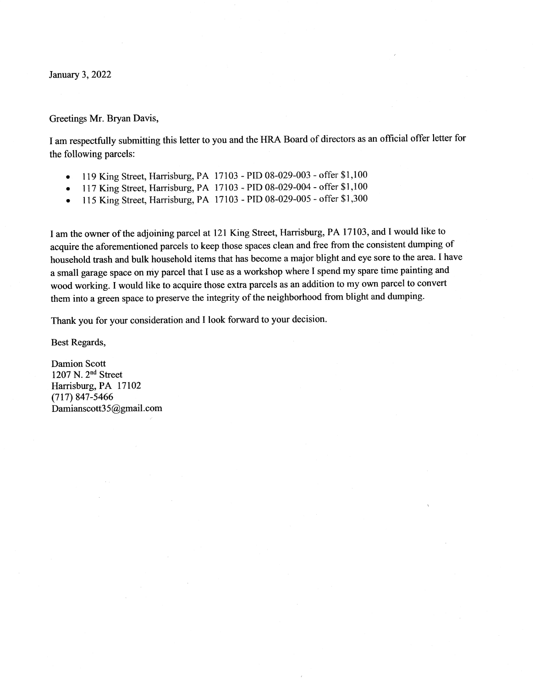January 3, 2022

#### Greetings Mr. Bryan Davis,

I am respectfully submitting this letter to you and the HRA Board of directors as an official offer letter for the following parcels:

- 119 King Street, Harrisburg, PA 17103 PID 08-029-003 offer \$1,100
- 117 King Street, Harrisburg, PA 17103 PID 08-029-004 offer \$1,100  $\bullet$
- 115 King Street, Harrisburg, PA 17103 PID 08-029-005 offer \$1,300  $\bullet$

I am the owner of the adjoining parcel at 121 King Street, Harrisburg, PA 17103, and I would like to acquire the aforementioned parcels to keep those spaces clean and free from the consistent dumping of household trash and bulk household items that has become a major blight and eye sore to the area. I have a small garage space on my parcel that I use as a workshop where I spend my spare time painting and wood working. I would like to acquire those extra parcels as an addition to my own parcel to convert them into a green space to preserve the integrity of the neighborhood from blight and dumping.

Thank you for your consideration and I look forward to your decision.

Best Regards,

**Damion Scott** 1207 N. 2<sup>nd</sup> Street Harrisburg, PA 17102  $(717) 847 - 5466$ Damianscott35@gmail.com